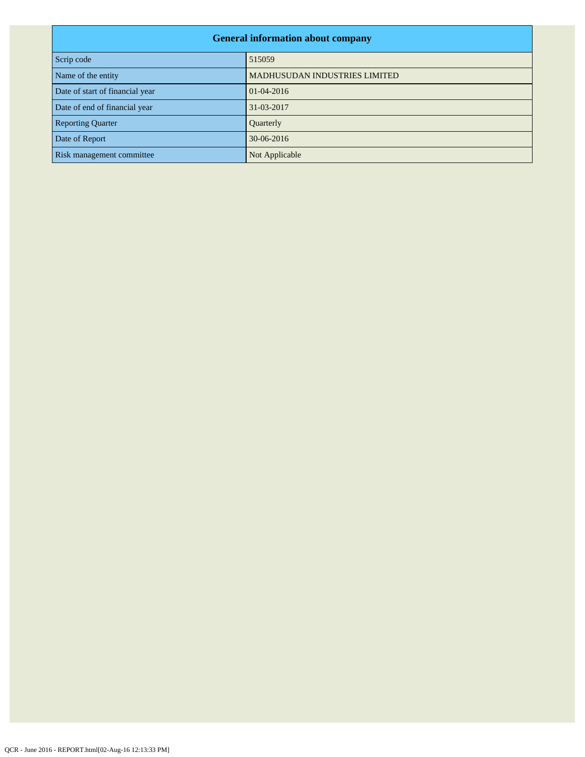| <b>General information about company</b> |                                      |  |  |  |
|------------------------------------------|--------------------------------------|--|--|--|
| Scrip code                               | 515059                               |  |  |  |
| Name of the entity                       | <b>MADHUSUDAN INDUSTRIES LIMITED</b> |  |  |  |
| Date of start of financial year          | $01-04-2016$                         |  |  |  |
| Date of end of financial year            | 31-03-2017                           |  |  |  |
| <b>Reporting Quarter</b>                 | Quarterly                            |  |  |  |
| Date of Report                           | 30-06-2016                           |  |  |  |
| Risk management committee                | Not Applicable                       |  |  |  |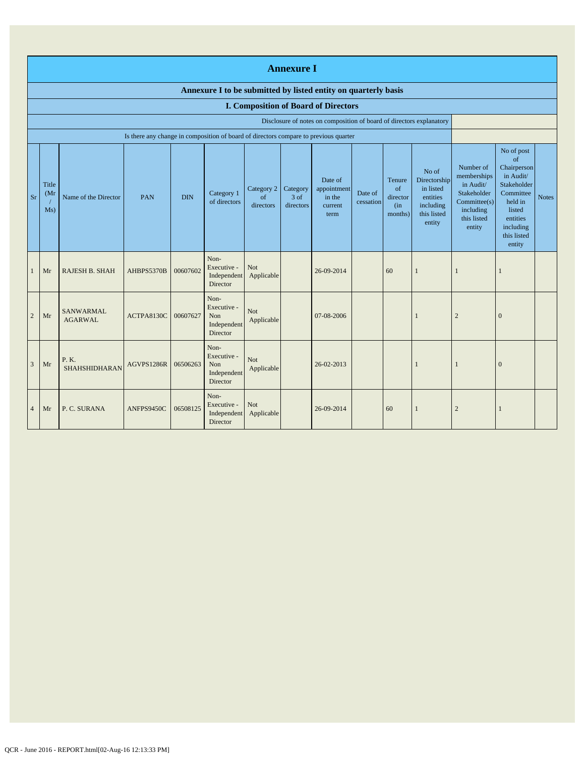|                | <b>Annexure I</b>                                                                                                                                                                                                                                                                                                                                                                                                                                                                        |                                    |            |          |                                                              |                                                                                                           |                                                                                                                                                 |                                                                      |    |              |                |                |  |
|----------------|------------------------------------------------------------------------------------------------------------------------------------------------------------------------------------------------------------------------------------------------------------------------------------------------------------------------------------------------------------------------------------------------------------------------------------------------------------------------------------------|------------------------------------|------------|----------|--------------------------------------------------------------|-----------------------------------------------------------------------------------------------------------|-------------------------------------------------------------------------------------------------------------------------------------------------|----------------------------------------------------------------------|----|--------------|----------------|----------------|--|
|                | Annexure I to be submitted by listed entity on quarterly basis                                                                                                                                                                                                                                                                                                                                                                                                                           |                                    |            |          |                                                              |                                                                                                           |                                                                                                                                                 |                                                                      |    |              |                |                |  |
|                |                                                                                                                                                                                                                                                                                                                                                                                                                                                                                          |                                    |            |          |                                                              |                                                                                                           |                                                                                                                                                 | <b>I. Composition of Board of Directors</b>                          |    |              |                |                |  |
|                |                                                                                                                                                                                                                                                                                                                                                                                                                                                                                          |                                    |            |          |                                                              |                                                                                                           |                                                                                                                                                 | Disclosure of notes on composition of board of directors explanatory |    |              |                |                |  |
| Sr             | Is there any change in composition of board of directors compare to previous quarter<br>No of<br>Directorship<br>Date of<br>Tenure<br>Title<br>Category 2<br>$\sigma$ f<br>in listed<br>Category<br>appointment<br>Category 1<br>Date of<br>(Mr)<br><b>DIN</b><br>Name of the Director<br>PAN<br>$3$ of<br>entities<br>of<br>in the<br>director<br>of directors<br>cessation<br>directors<br>including<br>directors<br>current<br>(in<br>Ms)<br>this listed<br>months)<br>term<br>entity |                                    |            |          |                                                              | Number of<br>memberships<br>in Audit/<br>Stakeholder<br>Commitee(s)<br>including<br>this listed<br>entity | No of post<br>of<br>Chairperson<br>in Audit/<br>Stakeholder<br>Committee<br>held in<br>listed<br>entities<br>including<br>this listed<br>entity | <b>Notes</b>                                                         |    |              |                |                |  |
| $\mathbf{1}$   | Mr                                                                                                                                                                                                                                                                                                                                                                                                                                                                                       | <b>RAJESH B. SHAH</b>              | AHBPS5370B | 00607602 | Non-<br>Executive -<br>Independent<br>Director               | Not<br>Applicable                                                                                         |                                                                                                                                                 | 26-09-2014                                                           | 60 | $\mathbf{1}$ | $\mathbf{1}$   | 1              |  |
| $\overline{2}$ | Mr                                                                                                                                                                                                                                                                                                                                                                                                                                                                                       | <b>SANWARMAL</b><br><b>AGARWAL</b> | ACTPA8130C | 00607627 | Non-<br>Executive -<br><b>Non</b><br>Independent<br>Director | Not<br>Applicable                                                                                         |                                                                                                                                                 | 07-08-2006                                                           |    |              | $\overline{c}$ | $\overline{0}$ |  |
| 3              | Mr                                                                                                                                                                                                                                                                                                                                                                                                                                                                                       | P. K.<br><b>SHAHSHIDHARAN</b>      | AGVPS1286R | 06506263 | Non-<br>Executive -<br>Non<br>Independent<br>Director        | Not<br>Applicable                                                                                         |                                                                                                                                                 | 26-02-2013                                                           |    | 1            | $\mathbf{1}$   | $\overline{0}$ |  |
| $\overline{4}$ | Mr                                                                                                                                                                                                                                                                                                                                                                                                                                                                                       | P. C. SURANA                       | ANFPS9450C | 06508125 | Non-<br>Executive -<br>Independent<br>Director               | <b>Not</b><br>Applicable                                                                                  |                                                                                                                                                 | 26-09-2014                                                           | 60 | 1            | $\overline{2}$ | 1              |  |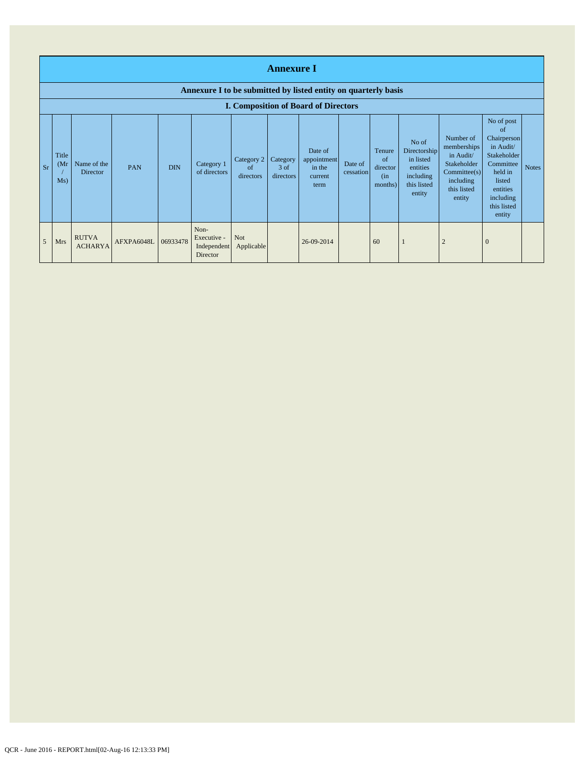|                | <b>Annexure I</b><br>Annexure I to be submitted by listed entity on quarterly basis |                                |                     |            |                                                |                                          |                                 |                                                     |                      |                                            |                                                                                      |                                                                                                           |                                                                                                                                                            |              |
|----------------|-------------------------------------------------------------------------------------|--------------------------------|---------------------|------------|------------------------------------------------|------------------------------------------|---------------------------------|-----------------------------------------------------|----------------------|--------------------------------------------|--------------------------------------------------------------------------------------|-----------------------------------------------------------------------------------------------------------|------------------------------------------------------------------------------------------------------------------------------------------------------------|--------------|
|                |                                                                                     |                                |                     |            |                                                |                                          |                                 | <b>I. Composition of Board of Directors</b>         |                      |                                            |                                                                                      |                                                                                                           |                                                                                                                                                            |              |
| <b>Sr</b>      | Title<br>(Mr<br>Ms)                                                                 | Name of the<br>Director        | PAN                 | <b>DIN</b> | Category 1<br>of directors                     | Category 2<br><sub>of</sub><br>directors | Category<br>$3$ of<br>directors | Date of<br>appointment<br>in the<br>current<br>term | Date of<br>cessation | Tenure<br>of<br>director<br>(in<br>months) | No of<br>Directorship<br>in listed<br>entities<br>including<br>this listed<br>entity | Number of<br>memberships<br>in Audit/<br>Stakeholder<br>Commitee(s)<br>including<br>this listed<br>entity | No of post<br><sub>of</sub><br>Chairperson<br>in Audit/<br>Stakeholder<br>Committee<br>held in<br>listed<br>entities<br>including<br>this listed<br>entity | <b>Notes</b> |
| $\overline{5}$ | <b>Mrs</b>                                                                          | <b>RUTVA</b><br><b>ACHARYA</b> | AFXPA6048L 06933478 |            | Non-<br>Executive -<br>Independent<br>Director | Not<br>Applicable                        |                                 | 26-09-2014                                          |                      | 60                                         |                                                                                      | $\overline{2}$                                                                                            | $\bf{0}$                                                                                                                                                   |              |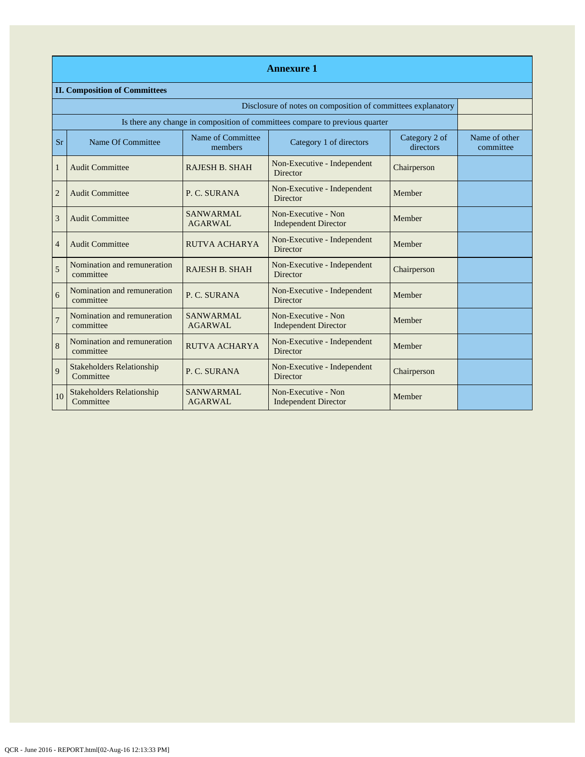|                | <b>Annexure 1</b>                                            |                                    |                                                                              |                            |                            |  |  |  |  |
|----------------|--------------------------------------------------------------|------------------------------------|------------------------------------------------------------------------------|----------------------------|----------------------------|--|--|--|--|
|                | <b>II. Composition of Committees</b>                         |                                    |                                                                              |                            |                            |  |  |  |  |
|                | Disclosure of notes on composition of committees explanatory |                                    |                                                                              |                            |                            |  |  |  |  |
|                |                                                              |                                    | Is there any change in composition of committees compare to previous quarter |                            |                            |  |  |  |  |
| <b>Sr</b>      | Name Of Committee                                            | Name of Committee<br>members       | Category 1 of directors                                                      | Category 2 of<br>directors | Name of other<br>committee |  |  |  |  |
| $\mathbf{1}$   | <b>Audit Committee</b>                                       | <b>RAJESH B. SHAH</b>              | Non-Executive - Independent<br>Director                                      | Chairperson                |                            |  |  |  |  |
| $\overline{2}$ | <b>Audit Committee</b>                                       | P. C. SURANA                       | Non-Executive - Independent<br><b>Director</b>                               | Member                     |                            |  |  |  |  |
| 3              | <b>Audit Committee</b>                                       | <b>SANWARMAL</b><br><b>AGARWAL</b> | Non-Executive - Non<br><b>Independent Director</b>                           | Member                     |                            |  |  |  |  |
| $\overline{4}$ | <b>Audit Committee</b>                                       | RUTVA ACHARYA                      | Non-Executive - Independent<br><b>Director</b>                               | Member                     |                            |  |  |  |  |
| 5              | Nomination and remuneration<br>committee                     | <b>RAJESH B. SHAH</b>              | Non-Executive - Independent<br><b>Director</b>                               | Chairperson                |                            |  |  |  |  |
| 6              | Nomination and remuneration<br>committee                     | P. C. SURANA                       | Non-Executive - Independent<br><b>Director</b>                               | Member                     |                            |  |  |  |  |
| $\overline{7}$ | Nomination and remuneration<br>committee                     | SANWARMAL<br><b>AGARWAL</b>        | Non-Executive - Non<br><b>Independent Director</b>                           | Member                     |                            |  |  |  |  |
| 8              | Nomination and remuneration<br>committee                     | <b>RUTVA ACHARYA</b>               | Non-Executive - Independent<br><b>Director</b>                               | Member                     |                            |  |  |  |  |
| 9              | <b>Stakeholders Relationship</b><br>Committee                | P. C. SURANA                       | Non-Executive - Independent<br>Director                                      | Chairperson                |                            |  |  |  |  |
| 10             | <b>Stakeholders Relationship</b><br>Committee                | <b>SANWARMAL</b><br><b>AGARWAL</b> | Non-Executive - Non<br><b>Independent Director</b>                           | Member                     |                            |  |  |  |  |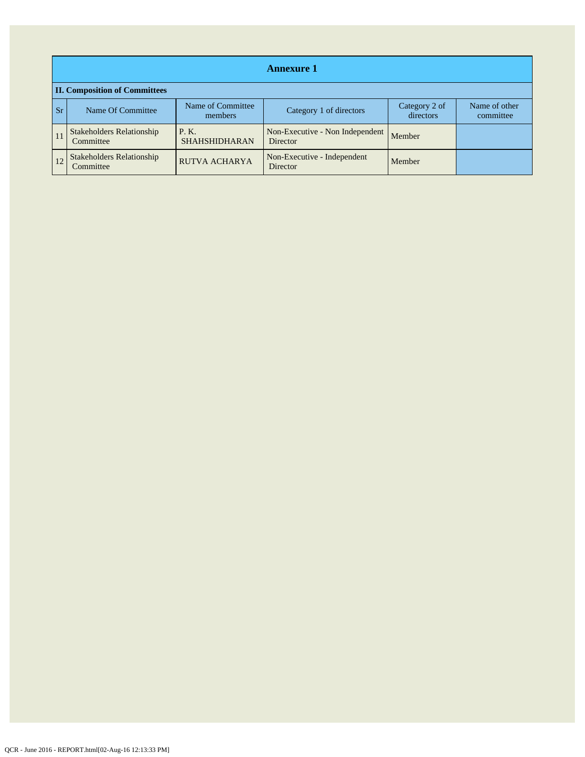|           | <b>Annexure 1</b>                             |                              |                                             |                            |                            |  |  |  |
|-----------|-----------------------------------------------|------------------------------|---------------------------------------------|----------------------------|----------------------------|--|--|--|
|           | <b>II. Composition of Committees</b>          |                              |                                             |                            |                            |  |  |  |
| <b>Sr</b> | Name Of Committee                             | Name of Committee<br>members | Category 1 of directors                     | Category 2 of<br>directors | Name of other<br>committee |  |  |  |
|           | <b>Stakeholders Relationship</b><br>Committee | P.K.<br><b>SHAHSHIDHARAN</b> | Non-Executive - Non Independent<br>Director | Member                     |                            |  |  |  |
|           | <b>Stakeholders Relationship</b><br>Committee | <b>RUTVA ACHARYA</b>         | Non-Executive - Independent<br>Director     | Member                     |                            |  |  |  |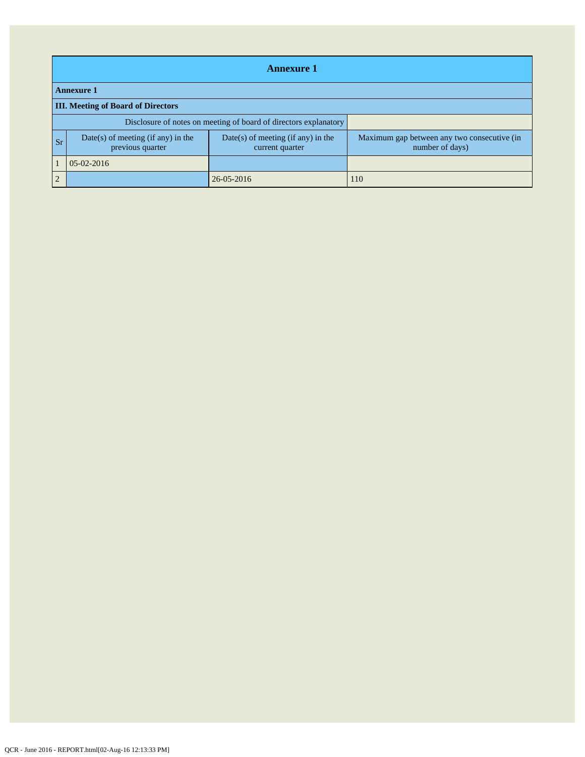|            | <b>Annexure 1</b>                                                |                                                         |                                                                |  |  |  |  |
|------------|------------------------------------------------------------------|---------------------------------------------------------|----------------------------------------------------------------|--|--|--|--|
|            | <b>Annexure 1</b>                                                |                                                         |                                                                |  |  |  |  |
|            | <b>III. Meeting of Board of Directors</b>                        |                                                         |                                                                |  |  |  |  |
|            | Disclosure of notes on meeting of board of directors explanatory |                                                         |                                                                |  |  |  |  |
| <b>Sr</b>  | $Date(s)$ of meeting (if any) in the<br>previous quarter         | $Date(s)$ of meeting (if any) in the<br>current quarter | Maximum gap between any two consecutive (in<br>number of days) |  |  |  |  |
|            | $05-02-2016$                                                     |                                                         |                                                                |  |  |  |  |
| $\sqrt{2}$ |                                                                  | 26-05-2016                                              | 110                                                            |  |  |  |  |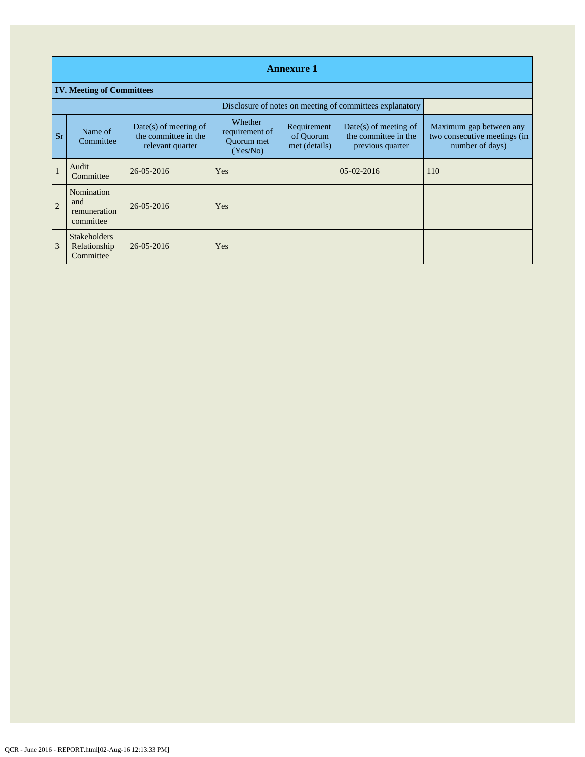|                | <b>Annexure 1</b>                                        |                                                                     |                                                     |                                           |                                                                     |                                                                            |  |
|----------------|----------------------------------------------------------|---------------------------------------------------------------------|-----------------------------------------------------|-------------------------------------------|---------------------------------------------------------------------|----------------------------------------------------------------------------|--|
|                | <b>IV. Meeting of Committees</b>                         |                                                                     |                                                     |                                           |                                                                     |                                                                            |  |
|                | Disclosure of notes on meeting of committees explanatory |                                                                     |                                                     |                                           |                                                                     |                                                                            |  |
| <b>Sr</b>      | Name of<br>Committee                                     | $Date(s)$ of meeting of<br>the committee in the<br>relevant quarter | Whether<br>requirement of<br>Quorum met<br>(Yes/No) | Requirement<br>of Quorum<br>met (details) | $Date(s)$ of meeting of<br>the committee in the<br>previous quarter | Maximum gap between any<br>two consecutive meetings (in<br>number of days) |  |
|                | Audit<br>Committee                                       | $26 - 05 - 2016$                                                    | Yes                                                 |                                           | $05-02-2016$                                                        | 110                                                                        |  |
| $\overline{2}$ | Nomination<br>and<br>remuneration<br>committee           | 26-05-2016                                                          | Yes                                                 |                                           |                                                                     |                                                                            |  |
| 3              | <b>Stakeholders</b><br>Relationship<br>Committee         | 26-05-2016                                                          | Yes                                                 |                                           |                                                                     |                                                                            |  |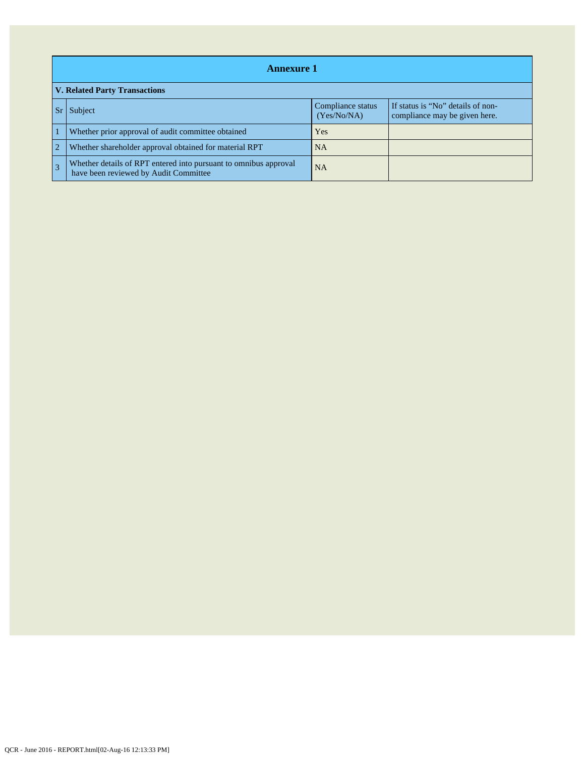|                | <b>Annexure 1</b>                                                                                         |                                  |                                                                    |  |  |  |
|----------------|-----------------------------------------------------------------------------------------------------------|----------------------------------|--------------------------------------------------------------------|--|--|--|
|                | <b>V. Related Party Transactions</b>                                                                      |                                  |                                                                    |  |  |  |
|                | Subject                                                                                                   | Compliance status<br>(Yes/No/NA) | If status is "No" details of non-<br>compliance may be given here. |  |  |  |
|                | Whether prior approval of audit committee obtained                                                        | Yes                              |                                                                    |  |  |  |
| $\overline{2}$ | Whether shareholder approval obtained for material RPT                                                    | <b>NA</b>                        |                                                                    |  |  |  |
|                | Whether details of RPT entered into pursuant to omnibus approval<br>have been reviewed by Audit Committee | <b>NA</b>                        |                                                                    |  |  |  |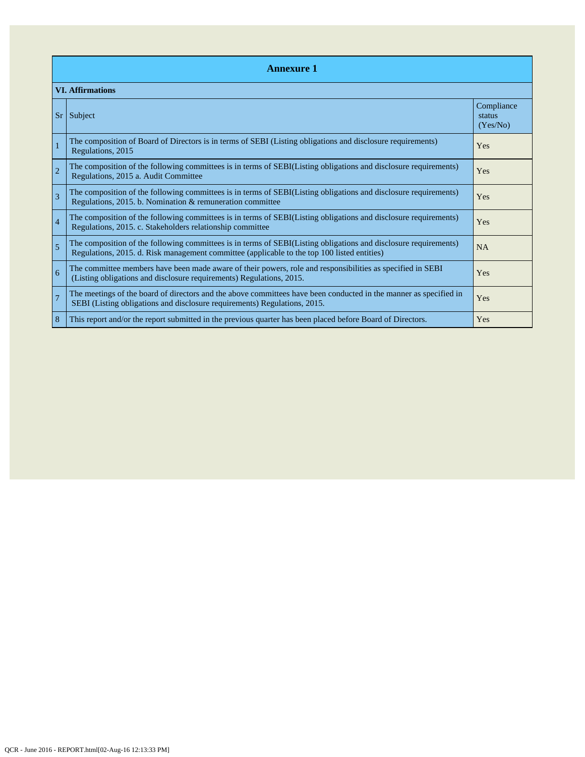|                | <b>Annexure 1</b>                                                                                                                                                                                               |                                  |  |  |  |  |
|----------------|-----------------------------------------------------------------------------------------------------------------------------------------------------------------------------------------------------------------|----------------------------------|--|--|--|--|
|                | <b>VI. Affirmations</b>                                                                                                                                                                                         |                                  |  |  |  |  |
| Sr             | Subject                                                                                                                                                                                                         | Compliance<br>status<br>(Yes/No) |  |  |  |  |
| $\mathbf{1}$   | The composition of Board of Directors is in terms of SEBI (Listing obligations and disclosure requirements)<br>Regulations, 2015                                                                                | Yes                              |  |  |  |  |
| $\overline{2}$ | The composition of the following committees is in terms of SEBI(Listing obligations and disclosure requirements)<br>Regulations, 2015 a. Audit Committee                                                        | Yes                              |  |  |  |  |
| 3              | The composition of the following committees is in terms of SEBI(Listing obligations and disclosure requirements)<br>Regulations, 2015. b. Nomination & remuneration committee                                   | Yes                              |  |  |  |  |
| $\overline{4}$ | The composition of the following committees is in terms of SEBI(Listing obligations and disclosure requirements)<br>Regulations, 2015. c. Stakeholders relationship committee                                   | <b>Yes</b>                       |  |  |  |  |
| 5              | The composition of the following committees is in terms of SEBI(Listing obligations and disclosure requirements)<br>Regulations, 2015. d. Risk management committee (applicable to the top 100 listed entities) | <b>NA</b>                        |  |  |  |  |
| 6              | The committee members have been made aware of their powers, role and responsibilities as specified in SEBI<br>(Listing obligations and disclosure requirements) Regulations, 2015.                              | Yes                              |  |  |  |  |
| $\overline{7}$ | The meetings of the board of directors and the above committees have been conducted in the manner as specified in<br>SEBI (Listing obligations and disclosure requirements) Regulations, 2015.                  | Yes                              |  |  |  |  |
| 8              | This report and/or the report submitted in the previous quarter has been placed before Board of Directors.                                                                                                      | Yes                              |  |  |  |  |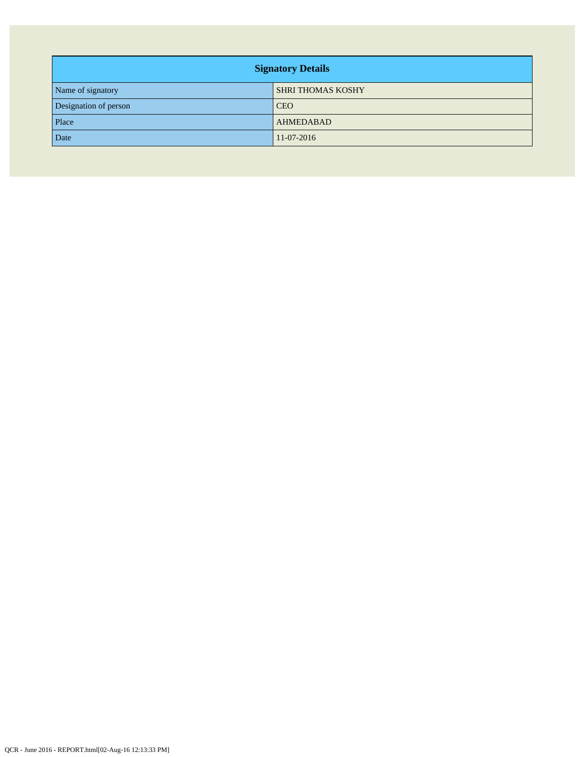| <b>Signatory Details</b> |                          |  |  |  |
|--------------------------|--------------------------|--|--|--|
| Name of signatory        | <b>SHRI THOMAS KOSHY</b> |  |  |  |
| Designation of person    | <b>CEO</b>               |  |  |  |
| Place                    | <b>AHMEDABAD</b>         |  |  |  |
| Date                     | 11-07-2016               |  |  |  |